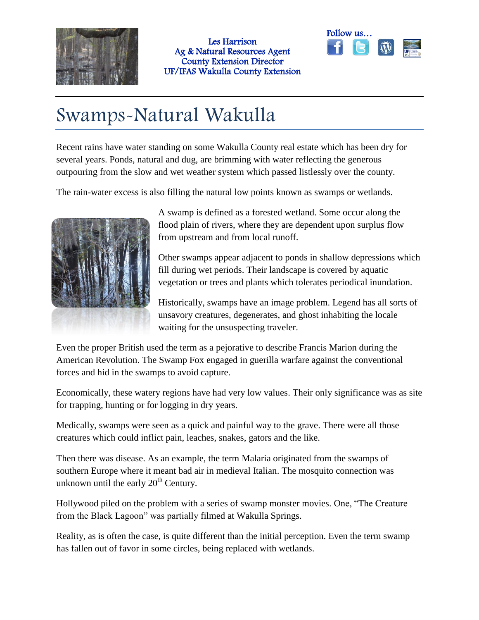



## Swamps-Natural Wakulla

Recent rains have water standing on some Wakulla County real estate which has been dry for several years. Ponds, natural and dug, are brimming with water reflecting the generous outpouring from the slow and wet weather system which passed listlessly over the county.

The rain-water excess is also filling the natural low points known as swamps or wetlands.



A swamp is defined as a forested wetland. Some occur along the flood plain of rivers, where they are dependent upon surplus flow from upstream and from local runoff.

Other swamps appear adjacent to ponds in shallow depressions which fill during wet periods. Their landscape is covered by aquatic vegetation or trees and plants which tolerates periodical inundation.

Historically, swamps have an image problem. Legend has all sorts of unsavory creatures, degenerates, and ghost inhabiting the locale waiting for the unsuspecting traveler.

Even the proper British used the term as a pejorative to describe Francis Marion during the American Revolution. The Swamp Fox engaged in guerilla warfare against the conventional forces and hid in the swamps to avoid capture.

Economically, these watery regions have had very low values. Their only significance was as site for trapping, hunting or for logging in dry years.

Medically, swamps were seen as a quick and painful way to the grave. There were all those creatures which could inflict pain, leaches, snakes, gators and the like.

Then there was disease. As an example, the term Malaria originated from the swamps of southern Europe where it meant bad air in medieval Italian. The mosquito connection was unknown until the early  $20<sup>th</sup>$  Century.

Hollywood piled on the problem with a series of swamp monster movies. One, "The Creature from the Black Lagoon" was partially filmed at Wakulla Springs.

Reality, as is often the case, is quite different than the initial perception. Even the term swamp has fallen out of favor in some circles, being replaced with wetlands.